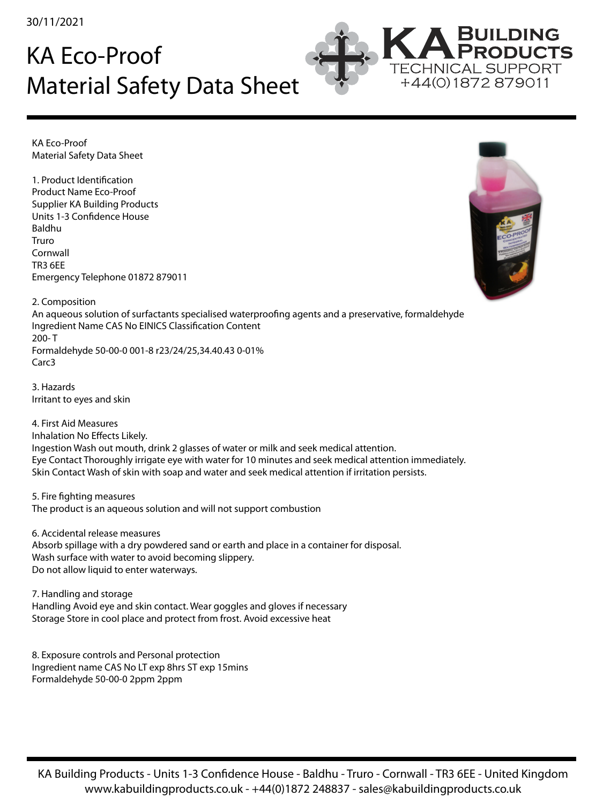30/11/2021

## KA Eco-Proof Material Safety Data Sheet



KA Eco-Proof Material Safety Data Sheet

1. Product Identification Product Name Eco-Proof Supplier KA Building Products Units 1-3 Confidence House Baldhu Truro Cornwall TR3 6EE Emergency Telephone 01872 879011



2. Composition An aqueous solution of surfactants specialised waterproofing agents and a preservative, formaldehyde Ingredient Name CAS No EINICS Classification Content 200- T Formaldehyde 50-00-0 001-8 r23/24/25,34.40.43 0-01% Carc3

3. Hazards Irritant to eyes and skin

4. First Aid Measures Inhalation No Effects Likely. Ingestion Wash out mouth, drink 2 glasses of water or milk and seek medical attention. Eye Contact Thoroughly irrigate eye with water for 10 minutes and seek medical attention immediately. Skin Contact Wash of skin with soap and water and seek medical attention if irritation persists.

5. Fire fighting measures The product is an aqueous solution and will not support combustion

6. Accidental release measures Absorb spillage with a dry powdered sand or earth and place in a container for disposal. Wash surface with water to avoid becoming slippery. Do not allow liquid to enter waterways.

7. Handling and storage Handling Avoid eye and skin contact. Wear goggles and gloves if necessary Storage Store in cool place and protect from frost. Avoid excessive heat

8. Exposure controls and Personal protection Ingredient name CAS No LT exp 8hrs ST exp 15mins Formaldehyde 50-00-0 2ppm 2ppm